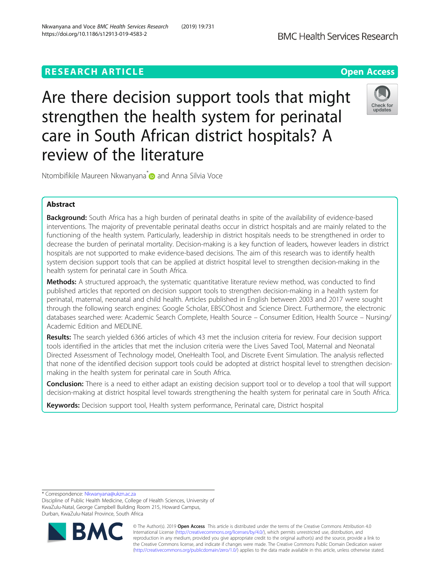# **RESEARCH ARTICLE Example 2014 12:30 The Contract of Contract ACCESS**



Are there decision support tools that might strengthen the health system for perinatal care in South African district hospitals? A review of the literature



Ntombifikile Maureen Nkwanyana D and Anna Silvia Voce

## Abstract

Background: South Africa has a high burden of perinatal deaths in spite of the availability of evidence-based interventions. The majority of preventable perinatal deaths occur in district hospitals and are mainly related to the functioning of the health system. Particularly, leadership in district hospitals needs to be strengthened in order to decrease the burden of perinatal mortality. Decision-making is a key function of leaders, however leaders in district hospitals are not supported to make evidence-based decisions. The aim of this research was to identify health system decision support tools that can be applied at district hospital level to strengthen decision-making in the health system for perinatal care in South Africa.

**Methods:** A structured approach, the systematic quantitative literature review method, was conducted to find published articles that reported on decision support tools to strengthen decision-making in a health system for perinatal, maternal, neonatal and child health. Articles published in English between 2003 and 2017 were sought through the following search engines: Google Scholar, EBSCOhost and Science Direct. Furthermore, the electronic databases searched were: Academic Search Complete, Health Source – Consumer Edition, Health Source – Nursing/ Academic Edition and MEDLINE.

Results: The search yielded 6366 articles of which 43 met the inclusion criteria for review. Four decision support tools identified in the articles that met the inclusion criteria were the Lives Saved Tool, Maternal and Neonatal Directed Assessment of Technology model, OneHealth Tool, and Discrete Event Simulation. The analysis reflected that none of the identified decision support tools could be adopted at district hospital level to strengthen decisionmaking in the health system for perinatal care in South Africa.

**Conclusion:** There is a need to either adapt an existing decision support tool or to develop a tool that will support decision-making at district hospital level towards strengthening the health system for perinatal care in South Africa.

Keywords: Decision support tool, Health system performance, Perinatal care, District hospital

\* Correspondence: [Nkwanyana@ukzn.ac.za](mailto:Nkwanyana@ukzn.ac.za)

Discipline of Public Health Medicine, College of Health Sciences, University of KwaZulu-Natal, George Campbell Building Room 215, Howard Campus, Durban, KwaZulu-Natal Province, South Africa



© The Author(s). 2019 **Open Access** This article is distributed under the terms of the Creative Commons Attribution 4.0 International License [\(http://creativecommons.org/licenses/by/4.0/](http://creativecommons.org/licenses/by/4.0/)), which permits unrestricted use, distribution, and reproduction in any medium, provided you give appropriate credit to the original author(s) and the source, provide a link to the Creative Commons license, and indicate if changes were made. The Creative Commons Public Domain Dedication waiver [\(http://creativecommons.org/publicdomain/zero/1.0/](http://creativecommons.org/publicdomain/zero/1.0/)) applies to the data made available in this article, unless otherwise stated.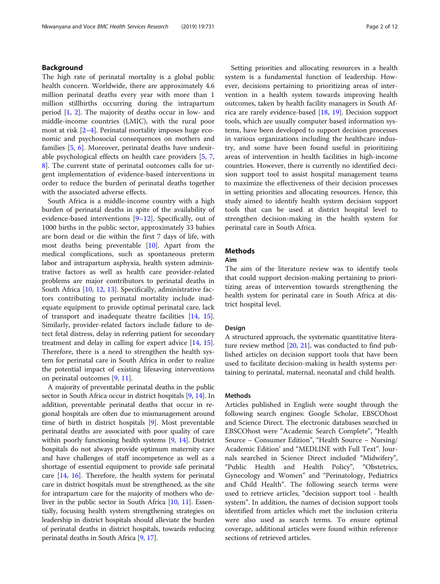### Background

The high rate of perinatal mortality is a global public health concern. Worldwide, there are approximately 4.6 million perinatal deaths every year with more than 1 million stillbirths occurring during the intrapartum period [[1,](#page-9-0) [2\]](#page-9-0). The majority of deaths occur in low- and middle-income countries (LMIC), with the rural poor most at risk [\[2](#page-9-0)–[4](#page-9-0)]. Perinatal mortality imposes huge economic and psychosocial consequences on mothers and families [[5,](#page-9-0) [6](#page-9-0)]. Moreover, perinatal deaths have undesirable psychological effects on health care providers [[5,](#page-9-0) [7](#page-9-0), [8\]](#page-9-0). The current state of perinatal outcomes calls for urgent implementation of evidence-based interventions in order to reduce the burden of perinatal deaths together with the associated adverse effects.

South Africa is a middle-income country with a high burden of perinatal deaths in spite of the availability of evidence-based interventions [\[9](#page-9-0)–[12\]](#page-9-0). Specifically, out of 1000 births in the public sector, approximately 33 babies are born dead or die within the first 7 days of life, with most deaths being preventable [[10](#page-9-0)]. Apart from the medical complications, such as spontaneous preterm labor and intrapartum asphyxia, health system administrative factors as well as health care provider-related problems are major contributors to perinatal deaths in South Africa [[10,](#page-9-0) [12,](#page-9-0) [13](#page-9-0)]. Specifically, administrative factors contributing to perinatal mortality include inadequate equipment to provide optimal perinatal care, lack of transport and inadequate theatre facilities [\[14](#page-9-0), [15](#page-9-0)]. Similarly, provider-related factors include failure to detect fetal distress, delay in referring patient for secondary treatment and delay in calling for expert advice [\[14,](#page-9-0) [15](#page-9-0)]. Therefore, there is a need to strengthen the health system for perinatal care in South Africa in order to realize the potential impact of existing lifesaving interventions on perinatal outcomes [\[9](#page-9-0), [11](#page-9-0)].

A majority of preventable perinatal deaths in the public sector in South Africa occur in district hospitals [[9,](#page-9-0) [14\]](#page-9-0). In addition, preventable perinatal deaths that occur in regional hospitals are often due to mismanagement around time of birth in district hospitals [\[9\]](#page-9-0). Most preventable perinatal deaths are associated with poor quality of care within poorly functioning health systems [\[9](#page-9-0), [14\]](#page-9-0). District hospitals do not always provide optimum maternity care and have challenges of staff incompetence as well as a shortage of essential equipment to provide safe perinatal care [[14](#page-9-0), [16](#page-10-0)]. Therefore, the health system for perinatal care in district hospitals must be strengthened, as the site for intrapartum care for the majority of mothers who deliver in the public sector in South Africa [[10](#page-9-0), [11\]](#page-9-0). Essentially, focusing health system strengthening strategies on leadership in district hospitals should alleviate the burden of perinatal deaths in district hospitals, towards reducing perinatal deaths in South Africa [\[9](#page-9-0), [17](#page-10-0)].

Setting priorities and allocating resources in a health system is a fundamental function of leadership. However, decisions pertaining to prioritizing areas of intervention in a health system towards improving health outcomes, taken by health facility managers in South Africa are rarely evidence-based [\[18](#page-10-0), [19](#page-10-0)]. Decision support tools, which are usually computer based information systems, have been developed to support decision processes in various organizations including the healthcare industry, and some have been found useful in prioritizing areas of intervention in health facilities in high-income countries. However, there is currently no identified decision support tool to assist hospital management teams to maximize the effectiveness of their decision processes in setting priorities and allocating resources. Hence, this study aimed to identify health system decision support tools that can be used at district hospital level to strengthen decision-making in the health system for perinatal care in South Africa.

### **Methods**

## Aim

The aim of the literature review was to identify tools that could support decision-making pertaining to prioritizing areas of intervention towards strengthening the health system for perinatal care in South Africa at district hospital level.

#### Design

A structured approach, the systematic quantitative literature review method [[20](#page-10-0), [21](#page-10-0)], was conducted to find published articles on decision support tools that have been used to facilitate decision-making in health systems pertaining to perinatal, maternal, neonatal and child health.

### Methods

Articles published in English were sought through the following search engines: Google Scholar, EBSCOhost and Science Direct. The electronic databases searched in EBSCOhost were "Academic Search Complete", "Health Source – Consumer Edition", "Health Source – Nursing/ Academic Edition' and "MEDLINE with Full Text". Journals searched in Science Direct included "Midwifery", "Public Health and Health Policy", "Obstetrics, Gynecology and Women" and "Perinatology, Pediatrics and Child Health". The following search terms were used to retrieve articles, "decision support tool - health system". In addition, the names of decision support tools identified from articles which met the inclusion criteria were also used as search terms. To ensure optimal coverage, additional articles were found within reference sections of retrieved articles.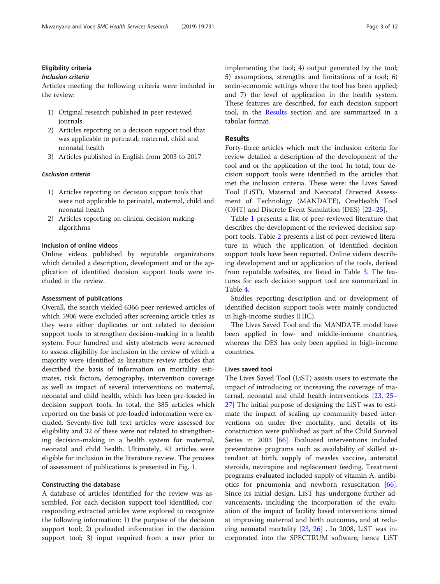### Eligibility criteria

#### Inclusion criteria

Articles meeting the following criteria were included in the review:

- 1) Original research published in peer reviewed journals
- 2) Articles reporting on a decision support tool that was applicable to perinatal, maternal, child and neonatal health
- 3) Articles published in English from 2003 to 2017

#### Exclusion criteria

- 1) Articles reporting on decision support tools that were not applicable to perinatal, maternal, child and neonatal health
- 2) Articles reporting on clinical decision making algorithms

### Inclusion of online videos

Online videos published by reputable organizations which detailed a description, development and or the application of identified decision support tools were included in the review.

### Assessment of publications

Overall, the search yielded 6366 peer reviewed articles of which 5906 were excluded after screening article titles as they were either duplicates or not related to decision support tools to strengthen decision-making in a health system. Four hundred and sixty abstracts were screened to assess eligibility for inclusion in the review of which a majority were identified as literature review articles that described the basis of information on mortality estimates, risk factors, demography, intervention coverage as well as impact of several interventions on maternal, neonatal and child health, which has been pre-loaded in decision support tools. In total, the 385 articles which reported on the basis of pre-loaded information were excluded. Seventy-five full text articles were assessed for eligibility and 32 of these were not related to strengthening decision-making in a health system for maternal, neonatal and child health. Ultimately, 43 articles were eligible for inclusion in the literature review. The process of assessment of publications is presented in Fig. [1](#page-3-0).

#### Constructing the database

A database of articles identified for the review was assembled. For each decision support tool identified, corresponding extracted articles were explored to recognize the following information: 1) the purpose of the decision support tool; 2) preloaded information in the decision support tool; 3) input required from a user prior to implementing the tool; 4) output generated by the tool; 5) assumptions, strengths and limitations of a tool; 6) socio-economic settings where the tool has been applied; and 7) the level of application in the health system. These features are described, for each decision support tool, in the Results section and are summarized in a tabular format.

### Results

Forty-three articles which met the inclusion criteria for review detailed a description of the development of the tool and or the application of the tool. In total, four decision support tools were identified in the articles that met the inclusion criteria. These were: the Lives Saved Tool (LiST), Maternal and Neonatal Directed Assessment of Technology (MANDATE), OneHealth Tool (OHT) and Discrete Event Simulation (DES) [[22](#page-10-0)–[25](#page-10-0)].

Table [1](#page-4-0) presents a list of peer-reviewed literature that describes the development of the reviewed decision support tools. Table [2](#page-4-0) presents a list of peer-reviewed literature in which the application of identified decision support tools have been reported. Online videos describing development and or application of the tools, derived from reputable websites, are listed in Table [3.](#page-6-0) The features for each decision support tool are summarized in Table [4.](#page-7-0)

Studies reporting description and or development of identified decision support tools were mainly conducted in high-income studies (HIC).

The Lives Saved Tool and the MANDATE model have been applied in low- and middle-income countries, whereas the DES has only been applied in high-income countries.

### Lives saved tool

The Lives Saved Tool (LiST) assists users to estimate the impact of introducing or increasing the coverage of maternal, neonatal and child health interventions [[23,](#page-10-0) [25](#page-10-0)– [27\]](#page-10-0) The initial purpose of designing the LiST was to estimate the impact of scaling up community based interventions on under five mortality, and details of its construction were published as part of the Child Survival Series in 2003 [\[66](#page-11-0)]. Evaluated interventions included preventative programs such as availability of skilled attendant at birth, supply of measles vaccine, antenatal steroids, nevirapine and replacement feeding. Treatment programs evaluated included supply of vitamin A, antibiotics for pneumonia and newborn resuscitation [\[66](#page-11-0)]. Since its initial design, LiST has undergone further advancements, including the incorporation of the evaluation of the impact of facility based interventions aimed at improving maternal and birth outcomes, and at reducing neonatal mortality  $[23, 26]$  $[23, 26]$  $[23, 26]$ . In 2008, LiST was incorporated into the SPECTRUM software, hence LiST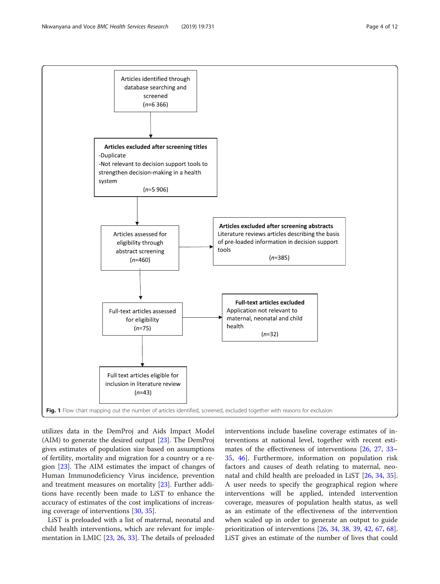<span id="page-3-0"></span>

utilizes data in the DemProj and Aids Impact Model (AIM) to generate the desired output [\[23](#page-10-0)]. The DemProj gives estimates of population size based on assumptions of fertility, mortality and migration for a country or a region [[23](#page-10-0)]. The AIM estimates the impact of changes of Human Immunodeficiency Virus incidence, prevention and treatment measures on mortality [\[23\]](#page-10-0). Further additions have recently been made to LiST to enhance the accuracy of estimates of the cost implications of increasing coverage of interventions [\[30](#page-10-0), [35](#page-10-0)].

LiST is preloaded with a list of maternal, neonatal and child health interventions, which are relevant for implementation in LMIC [\[23,](#page-10-0) [26,](#page-10-0) [33\]](#page-10-0). The details of preloaded interventions include baseline coverage estimates of interventions at national level, together with recent estimates of the effectiveness of interventions [\[26](#page-10-0), [27](#page-10-0), [33](#page-10-0)– [35,](#page-10-0) [46](#page-10-0)]. Furthermore, information on population risk factors and causes of death relating to maternal, neonatal and child health are preloaded in LiST [\[26](#page-10-0), [34](#page-10-0), [35](#page-10-0)]. A user needs to specify the geographical region where interventions will be applied, intended intervention coverage, measures of population health status, as well as an estimate of the effectiveness of the intervention when scaled up in order to generate an output to guide prioritization of interventions [[26](#page-10-0), [34](#page-10-0), [38,](#page-10-0) [39,](#page-10-0) [42,](#page-10-0) [67](#page-11-0), [68](#page-11-0)]. LiST gives an estimate of the number of lives that could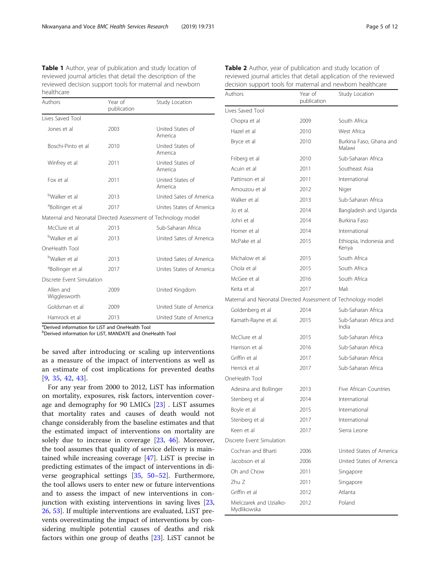<span id="page-4-0"></span>

| <b>Table 1</b> Author, year of publication and study location of |
|------------------------------------------------------------------|
| reviewed journal articles that detail the description of the     |
| reviewed decision support tools for maternal and newborn         |
| healthcare                                                       |

| Authors                                                       | Year of<br>publication | Study Location              |
|---------------------------------------------------------------|------------------------|-----------------------------|
| Lives Saved Tool                                              |                        |                             |
| Jones et al                                                   | 2003                   | United States of<br>America |
| Boschi-Pinto et al                                            | 2010                   | United States of<br>America |
| Winfrey et al                                                 | 2011                   | United States of<br>America |
| Fox et al                                                     | 2011                   | United States of<br>America |
| <sup>b</sup> Walker et al                                     | 2013                   | United Sates of America     |
| <sup>a</sup> Bollinger et al                                  | 2017                   | Unites States of America    |
| Maternal and Neonatal Directed Assessment of Technology model |                        |                             |
| McClure et al                                                 | 2013                   | Sub-Saharan Africa          |
| <sup>b</sup> Walker et al                                     | 2013                   | United Sates of America     |
| OneHealth Tool                                                |                        |                             |
| <sup>b</sup> Walker et al                                     | 2013                   | United Sates of America     |
| <sup>a</sup> Bollinger et al                                  | 2017                   | Unites States of America    |
| Discrete Event Simulation                                     |                        |                             |
| Allen and<br>Wigglesworth                                     | 2009                   | United Kingdom              |
| Goldsman et al                                                | 2009                   | United State of America     |
| Hamrock et al                                                 | 2013                   | United State of America     |

<sup>a</sup>Derived information for LiST and OneHealth Tool

b Derived information for LiST, MANDATE and OneHealth Tool

be saved after introducing or scaling up interventions as a measure of the impact of interventions as well as an estimate of cost implications for prevented deaths [[9,](#page-9-0) [35](#page-10-0), [42](#page-10-0), [43](#page-10-0)].

For any year from 2000 to 2012, LiST has information on mortality, exposures, risk factors, intervention coverage and demography for 90 LMICs [[23\]](#page-10-0) . LiST assumes that mortality rates and causes of death would not change considerably from the baseline estimates and that the estimated impact of interventions on mortality are solely due to increase in coverage [[23](#page-10-0), [46](#page-10-0)]. Moreover, the tool assumes that quality of service delivery is maintained while increasing coverage [\[47](#page-10-0)]. LiST is precise in predicting estimates of the impact of interventions in diverse geographical settings [\[35](#page-10-0), [50](#page-10-0)–[52\]](#page-10-0). Furthermore, the tool allows users to enter new or future interventions and to assess the impact of new interventions in conjunction with existing interventions in saving lives [[23](#page-10-0), [26,](#page-10-0) [53](#page-10-0)]. If multiple interventions are evaluated, LiST prevents overestimating the impact of interventions by considering multiple potential causes of deaths and risk factors within one group of deaths [[23](#page-10-0)]. LiST cannot be

| Authors                                                       | Year of<br>publication | Study Location                    |
|---------------------------------------------------------------|------------------------|-----------------------------------|
| Lives Saved Tool                                              |                        |                                   |
| Chopra et al                                                  | 2009                   | South Africa                      |
| Hazel et al                                                   | 2010                   | West Africa                       |
| Bryce et al                                                   | 2010                   | Burkina Faso, Ghana and<br>Malawi |
| Friberg et al                                                 | 2010                   | Sub-Saharan Africa                |
| Acuin et al                                                   | 2011                   | Southeast Asia                    |
| Pattinson et al                                               | 2011                   | International                     |
| Amouzou et al                                                 | 2012                   | Niger                             |
| Walker et al                                                  | 2013                   | Sub-Saharan Africa                |
| Jo et al.                                                     | 2014                   | Bangladesh and Uganda             |
| Johri et al                                                   | 2014                   | Burkina Faso                      |
| Homer et al                                                   | 2014                   | International                     |
| McPake et al                                                  | 2015                   | Ethiopia, Indonesia and<br>Kenya  |
| Michalow et al                                                | 2015                   | South Africa                      |
| Chola et al                                                   | 2015                   | South Africa                      |
| McGee et al                                                   | 2016                   | South Africa                      |
| Keita et al                                                   | 2017                   | Mali                              |
| Maternal and Neonatal Directed Assessment of Technology model |                        |                                   |
| Goldenberg et al                                              | 2014                   | Sub-Saharan Africa                |
| Kamath-Rayne et al.                                           | 2015                   | Sub-Saharan Africa and<br>India   |
| McClure et al                                                 | 2015                   | Sub-Saharan Africa                |
| Harrison et al                                                | 2016                   | Sub-Saharan Africa                |
| Griffin et al                                                 | 2017                   | Sub-Saharan Africa                |
| Herrick et al                                                 | 2017                   | Sub-Saharan Africa                |
| OneHealth Tool                                                |                        |                                   |
| Adesina and Bollinger                                         | 2013                   | Five African Countries            |
| Stenberg et al                                                | 2014                   | International                     |
| Boyle et al                                                   | 2015                   | International                     |
| Stenberg et al                                                | 2017                   | International                     |
| Keen et al                                                    | 2017                   | Sierra Leone                      |
| Discrete Event Simulation                                     |                        |                                   |
| Cochran and Bharti                                            | 2006                   | United States of America          |
| Jacobson et al                                                | 2006                   | United States of America          |
| Oh and Chow                                                   | 2011                   | Singapore                         |
| Zhu Z                                                         | 2011                   | Singapore                         |
| Griffin et al                                                 | 2012                   | Atlanta                           |
| Mielczarek and Uzialko-<br>Mydlikowska                        | 2012                   | Poland                            |

Table 2 Author, year of publication and study location of reviewed journal articles that detail application of the reviewed decision support tools for maternal and newborn healthcare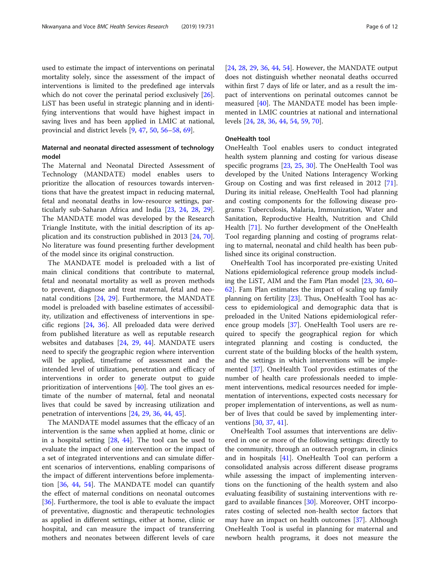used to estimate the impact of interventions on perinatal mortality solely, since the assessment of the impact of interventions is limited to the predefined age intervals which do not cover the perinatal period exclusively [\[26](#page-10-0)]. LiST has been useful in strategic planning and in identifying interventions that would have highest impact in saving lives and has been applied in LMIC at national, provincial and district levels [[9,](#page-9-0) [47,](#page-10-0) [50](#page-10-0), [56](#page-10-0)–[58](#page-10-0), [69](#page-11-0)].

### Maternal and neonatal directed assessment of technology model

The Maternal and Neonatal Directed Assessment of Technology (MANDATE) model enables users to prioritize the allocation of resources towards interventions that have the greatest impact in reducing maternal, fetal and neonatal deaths in low-resource settings, particularly sub-Saharan Africa and India [\[23](#page-10-0), [24](#page-10-0), [28,](#page-10-0) [29](#page-10-0)]. The MANDATE model was developed by the Research Triangle Institute, with the initial description of its application and its construction published in 2013 [\[24](#page-10-0), [70](#page-11-0)]. No literature was found presenting further development of the model since its original construction.

The MANDATE model is preloaded with a list of main clinical conditions that contribute to maternal, fetal and neonatal mortality as well as proven methods to prevent, diagnose and treat maternal, fetal and neonatal conditions [[24](#page-10-0), [29](#page-10-0)]. Furthermore, the MANDATE model is preloaded with baseline estimates of accessibility, utilization and effectiveness of interventions in specific regions [[24,](#page-10-0) [36](#page-10-0)]. All preloaded data were derived from published literature as well as reputable research websites and databases [[24,](#page-10-0) [29](#page-10-0), [44](#page-10-0)]. MANDATE users need to specify the geographic region where intervention will be applied, timeframe of assessment and the intended level of utilization, penetration and efficacy of interventions in order to generate output to guide prioritization of interventions [[40\]](#page-10-0). The tool gives an estimate of the number of maternal, fetal and neonatal lives that could be saved by increasing utilization and penetration of interventions [\[24,](#page-10-0) [29,](#page-10-0) [36,](#page-10-0) [44,](#page-10-0) [45\]](#page-10-0).

The MANDATE model assumes that the efficacy of an intervention is the same when applied at home, clinic or in a hospital setting [\[28](#page-10-0), [44\]](#page-10-0). The tool can be used to evaluate the impact of one intervention or the impact of a set of integrated interventions and can simulate different scenarios of interventions, enabling comparisons of the impact of different interventions before implementation [[36](#page-10-0), [44,](#page-10-0) [54\]](#page-10-0). The MANDATE model can quantify the effect of maternal conditions on neonatal outcomes [[36\]](#page-10-0). Furthermore, the tool is able to evaluate the impact of preventative, diagnostic and therapeutic technologies as applied in different settings, either at home, clinic or hospital, and can measure the impact of transferring mothers and neonates between different levels of care

[[24,](#page-10-0) [28,](#page-10-0) [29,](#page-10-0) [36,](#page-10-0) [44,](#page-10-0) [54\]](#page-10-0). However, the MANDATE output does not distinguish whether neonatal deaths occurred within first 7 days of life or later, and as a result the impact of interventions on perinatal outcomes cannot be measured [[40\]](#page-10-0). The MANDATE model has been implemented in LMIC countries at national and international levels [[24,](#page-10-0) [28,](#page-10-0) [36,](#page-10-0) [44,](#page-10-0) [54](#page-10-0), [59](#page-10-0), [70](#page-11-0)].

### OneHealth tool

OneHealth Tool enables users to conduct integrated health system planning and costing for various disease specific programs [[23](#page-10-0), [25,](#page-10-0) [30](#page-10-0)]. The OneHealth Tool was developed by the United Nations Interagency Working Group on Costing and was first released in 2012 [\[71](#page-11-0)]. During its initial release, OneHealth Tool had planning and costing components for the following disease programs: Tuberculosis, Malaria, Immunization, Water and Sanitation, Reproductive Health, Nutrition and Child Health [\[71](#page-11-0)]. No further development of the OneHealth Tool regarding planning and costing of programs relating to maternal, neonatal and child health has been published since its original construction.

OneHealth Tool has incorporated pre-existing United Nations epidemiological reference group models including the LiST, AIM and the Fam Plan model [\[23](#page-10-0), [30](#page-10-0), [60](#page-10-0)– [62\]](#page-11-0). Fam Plan estimates the impact of scaling up family planning on fertility [[23](#page-10-0)]. Thus, OneHealth Tool has access to epidemiological and demographic data that is preloaded in the United Nations epidemiological reference group models [[37](#page-10-0)]. OneHealth Tool users are required to specify the geographical region for which integrated planning and costing is conducted, the current state of the building blocks of the health system, and the settings in which interventions will be implemented [[37](#page-10-0)]. OneHealth Tool provides estimates of the number of health care professionals needed to implement interventions, medical resources needed for implementation of interventions, expected costs necessary for proper implementation of interventions, as well as number of lives that could be saved by implementing interventions [\[30](#page-10-0), [37,](#page-10-0) [41\]](#page-10-0).

OneHealth Tool assumes that interventions are delivered in one or more of the following settings: directly to the community, through an outreach program, in clinics and in hospitals [\[41\]](#page-10-0). OneHealth Tool can perform a consolidated analysis across different disease programs while assessing the impact of implementing interventions on the functioning of the health system and also evaluating feasibility of sustaining interventions with regard to available finances [[30\]](#page-10-0). Moreover, OHT incorporates costing of selected non-health sector factors that may have an impact on health outcomes [\[37](#page-10-0)]. Although OneHealth Tool is useful in planning for maternal and newborn health programs, it does not measure the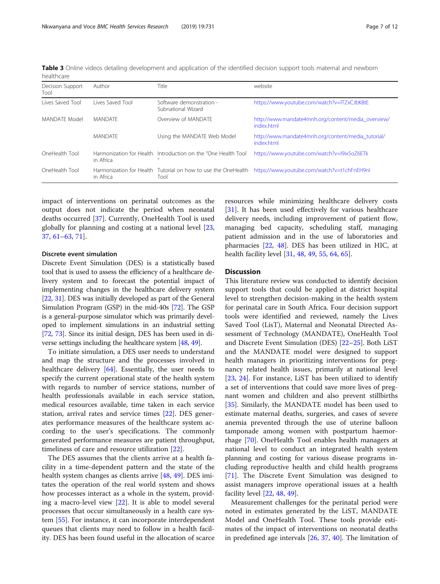<span id="page-6-0"></span>Table 3 Online videos detailing development and application of the identified decision support tools maternal and newborn healthcare

| Decision Support<br>Tool | Author                  | Title                                                                 | website                                                          |
|--------------------------|-------------------------|-----------------------------------------------------------------------|------------------------------------------------------------------|
| Lives Saved Tool         | <b>Lives Saved Tool</b> | Software demonstration -<br>Subnational Wizard                        | https://www.youtube.com/watch?v=ITZxCJbK8tE                      |
| MANDATE Model            | MANDATF                 | Overview of MANDATF                                                   | http://www.mandate4mnh.org/content/media_overview/<br>index.html |
|                          | <b>MANDATE</b>          | Using the MANDATE Web Model                                           | http://www.mandate4mnh.org/content/media_tutorial/<br>index.html |
| OneHealth Tool           | in Africa               | Harmonization for Health Introduction on the "One Health Tool         | https://www.youtube.com/watch?v=l9ix5oZ6ETk                      |
| OneHealth Tool           | in Africa               | Harmonization for Health Tutorial on how to use the OneHealth<br>Tool | https://www.youtube.com/watch?v=t1chFnEH9nl                      |

impact of interventions on perinatal outcomes as the output does not indicate the period when neonatal deaths occurred [[37\]](#page-10-0). Currently, OneHealth Tool is used globally for planning and costing at a national level [[23](#page-10-0), [37,](#page-10-0) [61](#page-10-0)–[63](#page-11-0), [71](#page-11-0)].

### Discrete event simulation

Discrete Event Simulation (DES) is a statistically based tool that is used to assess the efficiency of a healthcare delivery system and to forecast the potential impact of implementing changes in the healthcare delivery system [[22](#page-10-0), [31\]](#page-10-0). DES was initially developed as part of the General Simulation Program (GSP) in the mid-40s [\[72\]](#page-11-0). The GSP is a general-purpose simulator which was primarily developed to implement simulations in an industrial setting [[72](#page-11-0), [73](#page-11-0)]. Since its initial design, DES has been used in diverse settings including the healthcare system [\[48](#page-10-0), [49](#page-10-0)].

To initiate simulation, a DES user needs to understand and map the structure and the processes involved in healthcare delivery [[64\]](#page-11-0). Essentially, the user needs to specify the current operational state of the health system with regards to number of service stations, number of health professionals available in each service station, medical resources available, time taken in each service station, arrival rates and service times [[22](#page-10-0)]. DES generates performance measures of the healthcare system according to the user's specifications. The commonly generated performance measures are patient throughput, timeliness of care and resource utilization [\[22\]](#page-10-0).

The DES assumes that the clients arrive at a health facility in a time-dependent pattern and the state of the health system changes as clients arrive [\[48](#page-10-0), [49\]](#page-10-0). DES imitates the operation of the real world system and shows how processes interact as a whole in the system, providing a macro-level view [[22\]](#page-10-0). It is able to model several processes that occur simultaneously in a health care system [[55](#page-10-0)]. For instance, it can incorporate interdependent queues that clients may need to follow in a health facility. DES has been found useful in the allocation of scarce resources while minimizing healthcare delivery costs [[31\]](#page-10-0). It has been used effectively for various healthcare delivery needs, including improvement of patient flow, managing bed capacity, scheduling staff, managing patient admission and in the use of laboratories and pharmacies [[22,](#page-10-0) [48](#page-10-0)]. DES has been utilized in HIC, at health facility level [\[31,](#page-10-0) [48,](#page-10-0) [49,](#page-10-0) [55,](#page-10-0) [64,](#page-11-0) [65\]](#page-11-0).

### **Discussion**

This literature review was conducted to identify decision support tools that could be applied at district hospital level to strengthen decision-making in the health system for perinatal care in South Africa. Four decision support tools were identified and reviewed, namely the Lives Saved Tool (LisT), Maternal and Neonatal Directed Assessment of Technology (MANDATE), OneHealth Tool and Discrete Event Simulation (DES) [[22](#page-10-0)–[25](#page-10-0)]. Both LiST and the MANDATE model were designed to support health managers in prioritizing interventions for pregnancy related health issues, primarily at national level [[23,](#page-10-0) [24](#page-10-0)]. For instance, LiST has been utilized to identify a set of interventions that could save more lives of pregnant women and children and also prevent stillbirths [[35\]](#page-10-0). Similarly, the MANDATE model has been used to estimate maternal deaths, surgeries, and cases of severe anemia prevented through the use of uterine balloon tamponade among women with postpartum haemorrhage [\[70](#page-11-0)]. OneHealth Tool enables health managers at national level to conduct an integrated health system planning and costing for various disease programs including reproductive health and child health programs [[71\]](#page-11-0). The Discrete Event Simulation was designed to assist managers improve operational issues at a health facility level [\[22,](#page-10-0) [48,](#page-10-0) [49\]](#page-10-0).

Measurement challenges for the perinatal period were noted in estimates generated by the LiST, MANDATE Model and OneHealth Tool. These tools provide estimates of the impact of interventions on neonatal deaths in predefined age intervals [[26,](#page-10-0) [37,](#page-10-0) [40\]](#page-10-0). The limitation of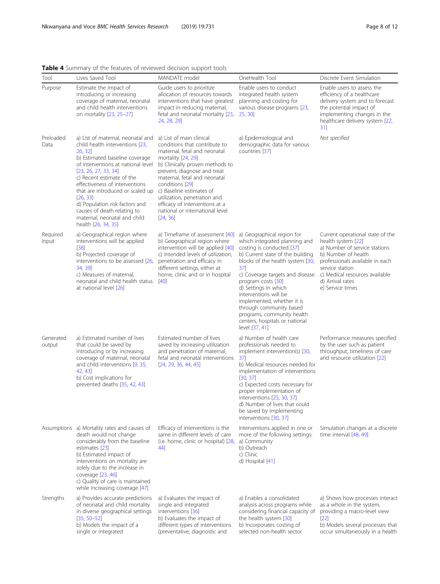| Tool                | Lives Saved Tool                                                                                                                                                                                                                                                                                                                                                                                                       | MANDATE model                                                                                                                                                                                                                                                                                                                                                                     | OneHealth Tool                                                                                                                                                                                                                                                                                                                                                                                                               | Discrete Event Simulation                                                                                                                                                                                                                      |
|---------------------|------------------------------------------------------------------------------------------------------------------------------------------------------------------------------------------------------------------------------------------------------------------------------------------------------------------------------------------------------------------------------------------------------------------------|-----------------------------------------------------------------------------------------------------------------------------------------------------------------------------------------------------------------------------------------------------------------------------------------------------------------------------------------------------------------------------------|------------------------------------------------------------------------------------------------------------------------------------------------------------------------------------------------------------------------------------------------------------------------------------------------------------------------------------------------------------------------------------------------------------------------------|------------------------------------------------------------------------------------------------------------------------------------------------------------------------------------------------------------------------------------------------|
| Purpose             | Estimate the impact of<br>introducing or increasing<br>coverage of maternal, neonatal<br>and child health interventions<br>on mortality [23, 25-27]                                                                                                                                                                                                                                                                    | Guide users to prioritize<br>allocation of resources towards<br>interventions that have greatest<br>impact in reducing maternal,<br>fetal and neonatal mortality [23,<br>24, 28, 29]                                                                                                                                                                                              | Enable users to conduct<br>integrated health system<br>planning and costing for<br>various disease programs [23,<br>25, 30                                                                                                                                                                                                                                                                                                   | Enable users to assess the<br>efficiency of a healthcare<br>delivery system and to forecast<br>the potential impact of<br>implementing changes in the<br>healthcare delivery system [22,<br>31]                                                |
| Preloaded<br>Data   | a) List of maternal, neonatal and<br>child health interventions [23,<br>26, 32]<br>b) Estimated baseline coverage<br>of interventions at national level<br>[23, 26, 27, 33, 34]<br>c) Recent estimate of the<br>effectiveness of interventions<br>that are introduced or scaled up<br>[26, 33]<br>d) Population risk factors and<br>causes of death relating to<br>maternal, neonatal and child<br>health [26, 34, 35] | a) List of main clinical<br>conditions that contribute to<br>maternal, fetal and neonatal<br>mortality [24, 29]<br>b) Clinically proven methods to<br>prevent, diagnose and treat<br>maternal, fetal and neonatal<br>conditions [29]<br>c) Baseline estimates of<br>utilization, penetration and<br>efficacy of interventions at a<br>national or international level<br>[24, 36] | a) Epidemiological and<br>demographic data for various<br>countries [37]                                                                                                                                                                                                                                                                                                                                                     | Not specified                                                                                                                                                                                                                                  |
| Required<br>Input   | a) Geographical region where<br>interventions will be applied<br>$[38]$<br>b) Projected coverage of<br>interventions to be assessed [26,<br>34, 39]<br>c) Measures of maternal,<br>neonatal and child health status<br>at national level [26]                                                                                                                                                                          | a) Timeframe of assessment [40]<br>b) Geographical region where<br>intervention will be applied [40]<br>c) Intended levels of utilization,<br>penetration and efficacy in<br>different settings, either at<br>home, clinic and or in hospital<br>$[40]$                                                                                                                           | a) Geographical region for<br>which integrated planning and<br>costing is conducted [37]<br>b) Current state of the building<br>blocks of the health system [30,<br>37]<br>c) Coverage targets and disease<br>program costs [30]<br>d) Settings in which<br>interventions will be<br>implemented, whether it is<br>through community based<br>programs, community health<br>centers, hospitals or national<br>level [37, 41] | Current operational state of the<br>health system [22]<br>a) Number of service stations<br>b) Number of health<br>professionals available in each<br>service station<br>c) Medical resources available<br>d) Arrival rates<br>e) Service times |
| Generated<br>output | a) Estimated number of lives<br>that could be saved by<br>introducing or by increasing<br>coverage of maternal, neonatal<br>and child interventions [9, 35,<br>42, 43]<br>b) Cost implications for<br>prevented deaths [35, 42, 43]                                                                                                                                                                                    | Estimated number of lives<br>saved by increasing utilization<br>and penetration of maternal,<br>fetal and neonatal interventions<br>[24, 29, 36, 44, 45]                                                                                                                                                                                                                          | a) Number of health care<br>professionals needed to<br>implement intervention(s) [30,<br>371<br>b) Medical resources needed for<br>implementation of interventions<br>[30, 37]<br>c) Expected costs necessary for<br>proper implementation of<br>interventions [25, 30, 37]<br>d) Number of lives that could<br>be saved by implementing<br>interventions [30, 37]                                                           | Performance measures specified<br>by the user such as patient<br>throughput, timeliness of care<br>and resource utilization [22]                                                                                                               |
|                     | Assumptions a) Mortality rates and causes of<br>death would not change<br>considerably from the baseline<br>estimates [23]<br>b) Estimated impact of<br>interventions on mortality are<br>solely due to the increase in<br>coverage [23, 46]<br>c) Quality of care is maintained<br>while increasing coverage [47]                                                                                                     | Efficacy of interventions is the<br>same in different levels of care<br>(i.e. home, clinic or hospital) [28, a) Community<br>44                                                                                                                                                                                                                                                   | Interventions applied in one or<br>more of the following settings:<br>b) Outreach<br>c) Clinic<br>d) Hospital [41]                                                                                                                                                                                                                                                                                                           | Simulation changes at a discrete<br>time interval [48, 49]                                                                                                                                                                                     |
| Strengths           | a) Provides accurate predictions<br>of neonatal and child mortality<br>in diverse geographical settings<br>$[35, 50 - 52]$<br>b) Models the impact of a<br>single or integrated                                                                                                                                                                                                                                        | a) Evaluates the impact of<br>single and integrated<br>interventions [36]<br>b) Evaluates the impact of<br>different types of interventions<br>(preventative, diagnostic and                                                                                                                                                                                                      | a) Enables a consolidated<br>analysis across programs while<br>considering financial capacity of<br>the health system [30]<br>b) Incorporates costing of<br>selected non-health sector                                                                                                                                                                                                                                       | a) Shows how processes interact<br>as a whole in the system,<br>providing a macro-level view<br>$[22]$<br>b) Models several processes that<br>occur simultaneously in a health                                                                 |

## <span id="page-7-0"></span>Table 4 Summary of the features of reviewed decision support tools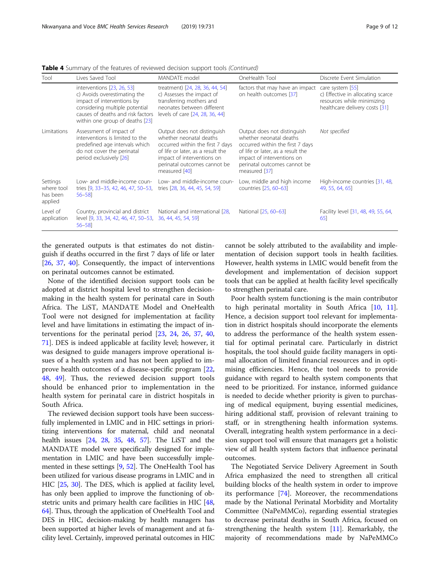Table 4 Summary of the features of reviewed decision support tools (Continued)

| Tool                                          | Lives Saved Tool                                                                                                                                                                                    | <b>MANDATE</b> model                                                                                                                                                                                           | OneHealth Tool                                                                                                                                                                                                 | Discrete Event Simulation                                                                                             |
|-----------------------------------------------|-----------------------------------------------------------------------------------------------------------------------------------------------------------------------------------------------------|----------------------------------------------------------------------------------------------------------------------------------------------------------------------------------------------------------------|----------------------------------------------------------------------------------------------------------------------------------------------------------------------------------------------------------------|-----------------------------------------------------------------------------------------------------------------------|
|                                               | interventions [23, 26, 53]<br>c) Avoids overestimating the<br>impact of interventions by<br>considering multiple potential<br>causes of deaths and risk factors.<br>within one group of deaths [23] | treatment) [24, 28, 36, 44, 54]<br>c) Assesses the impact of<br>transferring mothers and<br>neonates between different<br>levels of care [24, 28, 36, 44]                                                      | factors that may have an impact<br>on health outcomes [37]                                                                                                                                                     | care system [55]<br>c) Effective in allocating scarce<br>resources while minimizing<br>healthcare delivery costs [31] |
| Limitations                                   | Assessment of impact of<br>interventions is limited to the<br>predefined age intervals which<br>do not cover the perinatal<br>period exclusively [26]                                               | Output does not distinguish<br>whether neonatal deaths<br>occurred within the first 7 days<br>of life or later, as a result the<br>impact of interventions on<br>perinatal outcomes cannot be<br>measured [40] | Output does not distinguish<br>whether neonatal deaths<br>occurred within the first 7 days<br>of life or later, as a result the<br>impact of interventions on<br>perinatal outcomes cannot be<br>measured [37] | Not specified                                                                                                         |
| Settings<br>where tool<br>has been<br>applied | Low- and middle-income coun-<br>tries [9, 33-35, 42, 46, 47, 50-53,<br>$56 - 58$                                                                                                                    | Low- and middle-income coun-<br>tries [28, 36, 44, 45, 54, 59]                                                                                                                                                 | Low, middle and high income<br>countries [25, 60-63]                                                                                                                                                           | High-income countries [31, 48,<br>49, 55, 64, 65]                                                                     |
| Level of<br>application                       | Country, provincial and district<br>level [9, 33, 34, 42, 46, 47, 50-53,<br>$56 - 58$                                                                                                               | National and international [28,<br>36, 44, 45, 54, 59]                                                                                                                                                         | National [25, 60-63]                                                                                                                                                                                           | Facility level [31, 48, 49, 55, 64,<br>65                                                                             |

the generated outputs is that estimates do not distinguish if deaths occurred in the first 7 days of life or later [[26,](#page-10-0) [37](#page-10-0), [40\]](#page-10-0). Consequently, the impact of interventions on perinatal outcomes cannot be estimated.

None of the identified decision support tools can be adopted at district hospital level to strengthen decisionmaking in the health system for perinatal care in South Africa. The LiST, MANDATE Model and OneHealth Tool were not designed for implementation at facility level and have limitations in estimating the impact of interventions for the perinatal period [[23](#page-10-0), [24,](#page-10-0) [26,](#page-10-0) [37](#page-10-0), [40](#page-10-0), [71\]](#page-11-0). DES is indeed applicable at facility level; however, it was designed to guide managers improve operational issues of a health system and has not been applied to improve health outcomes of a disease-specific program [[22](#page-10-0), [48,](#page-10-0) [49](#page-10-0)]. Thus, the reviewed decision support tools should be enhanced prior to implementation in the health system for perinatal care in district hospitals in South Africa.

The reviewed decision support tools have been successfully implemented in LMIC and in HIC settings in prioritizing interventions for maternal, child and neonatal health issues [\[24,](#page-10-0) [28](#page-10-0), [35](#page-10-0), [48,](#page-10-0) [57](#page-10-0)]. The LiST and the MANDATE model were specifically designed for implementation in LMIC and have been successfully imple-mented in these settings [\[9,](#page-9-0) [52\]](#page-10-0). The OneHealth Tool has been utilized for various disease programs in LMIC and in HIC [[25,](#page-10-0) [30](#page-10-0)]. The DES, which is applied at facility level, has only been applied to improve the functioning of obstetric units and primary health care facilities in HIC [[48](#page-10-0), [64](#page-11-0)]. Thus, through the application of OneHealth Tool and DES in HIC, decision-making by health managers has been supported at higher levels of management and at facility level. Certainly, improved perinatal outcomes in HIC cannot be solely attributed to the availability and implementation of decision support tools in health facilities. However, health systems in LMIC would benefit from the development and implementation of decision support tools that can be applied at health facility level specifically to strengthen perinatal care.

Poor health system functioning is the main contributor to high perinatal mortality in South Africa [[10](#page-9-0), [11](#page-9-0)]. Hence, a decision support tool relevant for implementation in district hospitals should incorporate the elements to address the performance of the health system essential for optimal perinatal care. Particularly in district hospitals, the tool should guide facility managers in optimal allocation of limited financial resources and in optimising efficiencies. Hence, the tool needs to provide guidance with regard to health system components that need to be prioritized. For instance, informed guidance is needed to decide whether priority is given to purchasing of medical equipment, buying essential medicines, hiring additional staff, provision of relevant training to staff, or in strengthening health information systems. Overall, integrating health system performance in a decision support tool will ensure that managers get a holistic view of all health system factors that influence perinatal outcomes.

The Negotiated Service Delivery Agreement in South Africa emphasized the need to strengthen all critical building blocks of the health system in order to improve its performance [[74](#page-11-0)]. Moreover, the recommendations made by the National Perinatal Morbidity and Mortality Committee (NaPeMMCo), regarding essential strategies to decrease perinatal deaths in South Africa, focused on strengthening the health system [\[11](#page-9-0)]. Remarkably, the majority of recommendations made by NaPeMMCo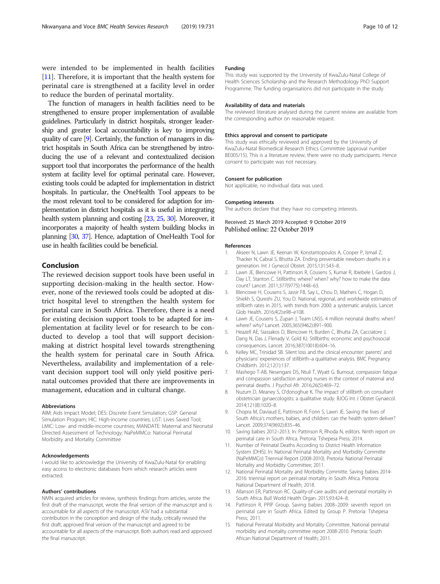<span id="page-9-0"></span>were intended to be implemented in health facilities [11]. Therefore, it is important that the health system for perinatal care is strengthened at a facility level in order to reduce the burden of perinatal mortality.

The function of managers in health facilities need to be strengthened to ensure proper implementation of available guidelines. Particularly in district hospitals, stronger leadership and greater local accountability is key to improving quality of care [9]. Certainly, the function of managers in district hospitals in South Africa can be strengthened by introducing the use of a relevant and contextualized decision support tool that incorporates the performance of the health system at facility level for optimal perinatal care. However, existing tools could be adapted for implementation in district hospitals. In particular, the OneHealth Tool appears to be the most relevant tool to be considered for adaption for implementation in district hospitals as it is useful in integrating health system planning and costing [\[23](#page-10-0), [25](#page-10-0), [30](#page-10-0)]. Moreover, it incorporates a majority of health system building blocks in planning [\[30,](#page-10-0) [37\]](#page-10-0). Hence, adaptation of OneHealth Tool for use in health facilities could be beneficial.

### Conclusion

The reviewed decision support tools have been useful in supporting decision-making in the health sector. However, none of the reviewed tools could be adopted at district hospital level to strengthen the health system for perinatal care in South Africa. Therefore, there is a need for existing decision support tools to be adapted for implementation at facility level or for research to be conducted to develop a tool that will support decisionmaking at district hospital level towards strengthening the health system for perinatal care in South Africa. Nevertheless, availability and implementation of a relevant decision support tool will only yield positive perinatal outcomes provided that there are improvements in management, education and in cultural change.

#### Abbreviations

AIM: Aids Impact Model; DES: Discrete Event Simulation; GSP: General Simulation Program; HIC: High-income countries; LiST: Lives Saved Tool; LMIC: Low- and middle-income countries; MANDATE: Maternal and Neonatal Directed Assessment of Technology; NaPeMMCo: National Perinatal Morbidity and Mortality Committee

#### Acknowledgements

I would like to acknowledge the University of KwaZulu-Natal for enabling easy access to electronic databases from which research articles were extracted.

#### Authors' contributions

NMN acquired articles for review, synthesis findings from articles, wrote the first draft of the manuscript, wrote the final version of the manuscript and is accountable for all aspects of the manuscript. ASV had a substantial contribution in the conception and design of the study, critically revised the first draft, approved final version of the manuscript and agreed to be accountable for all aspects of the manuscript. Both authors read and approved the final manuscript.

#### Funding

This study was supported by the University of KwaZulu-Natal College of Health Sciences Scholarship and the Research Methodology PhD Support Programme. The funding organisations did not participate in the study.

#### Availability of data and materials

The reviewed literature analysed during the current review are available from the corresponding author on reasonable request.

#### Ethics approval and consent to participate

This study was ethically reviewed and approved by the University of KwaZulu-Natal Biomedical Research Ethics Committee (approval number BE005/15). This is a literature review, there were no study participants. Hence consent to participate was not necessary.

#### Consent for publication

Not applicable, no individual data was used.

#### Competing interests

The authors declare that they have no competing interests.

### Received: 25 March 2019 Accepted: 9 October 2019 Published online: 22 October 2019

#### References

- 1. Akseer N, Lawn JE, Keenan W, Konstantopoulos A, Cooper P, Ismail Z, Thacker N, Cabral S, Bhutta ZA. Ending preventable newborn deaths in a generation. Int J Gynecol Obstet. 2015;131:S43–8.
- 2. Lawn JE, Blencowe H, Pattinson R, Cousens S, Kumar R, Ibiebele I, Gardosi J, Day LT, Stanton C. Stillbirths: where? when? why? how to make the data count? Lancet. 2011;377(9775):1448–63.
- 3. Blencowe H, Cousens S, Jassir FB, Say L, Chou D, Mathers C, Hogan D, Shiekh S, Qureshi ZU, You D. National, regional, and worldwide estimates of stillbirth rates in 2015, with trends from 2000: a systematic analysis. Lancet Glob Health. 2016;4(2):e98–e108.
- 4. Lawn JE, Cousens S, Zupan J, Team LNSS. 4 million neonatal deaths: when? where? why? Lancet. 2005;365(9462):891–900.
- 5. Heazell AE, Siassakos D, Blencowe H, Burden C, Bhutta ZA, Cacciatore J, Dang N, Das J, Flenady V, Gold KJ. Stillbirths: economic and psychosocial consequences. Lancet. 2016;387(10018):604–16.
- 6. Kelley MC, Trinidad SB. Silent loss and the clinical encounter: parents' and physicians' experiences of stillbirth–a qualitative analysis. BMC Pregnancy Childbirth. 2012;12(1):137.
- 7. Mashego T-AB, Nesengani DS, Ntuli T, Wyatt G. Burnout, compassion fatigue and compassion satisfaction among nurses in the context of maternal and perinatal deaths. J Psychol Afr. 2016;26(5):469–72.
- 8. Nuzum D, Meaney S, O'donoghue K. The impact of stillbirth on consultant obstetrician gynaecologists: a qualitative study. BJOG Int J Obstet Gynaecol. 2014;121(8):1020–8.
- 9. Chopra M, Daviaud E, Pattinson R, Fonn S, Lawn JE. Saving the lives of South Africa's mothers, babies, and children: can the health system deliver? Lancet. 2009;374(9692):835–46.
- 10. Saving babies 2012–2013. In: Pattinson R, Rhoda N, editors. Ninth report on perinatal care in South Africa. Pretoria: Tshepesa Press; 2014.
- 11. Number of Perinatal Deaths According to District Health Information System (DHIS). In: National Perinatal Mortality and Morbidity Committe (NaPeMMCo) Triennial Report (2008-2010). Pretoria: National Perinatal Mortality and Morbidity Committee; 2011.
- 12. National Perinatal Mortality and Morbidity Committe. Saving babies 2014- 2016: triennial report on perinatal mortality in South Africa. Pretoria: National Department of Health; 2018.
- 13. Allanson ER, Pattinson RC. Quality-of-care audits and perinatal mortality in South Africa. Bull World Health Organ. 2015;93:424–8.
- 14. Pattinson R, PPIP Group. Saving babies 2008–2009: seventh report on perinatal care in South Africa. Edited by Group P. Pretoria: Tshepesa Press; 2011.
- 15. National Perinatal Morbidity and Mortality Committee. National perinatal morbidity and mortality committee report 2008-2010. Pretoria: South African National Department of Health; 2011.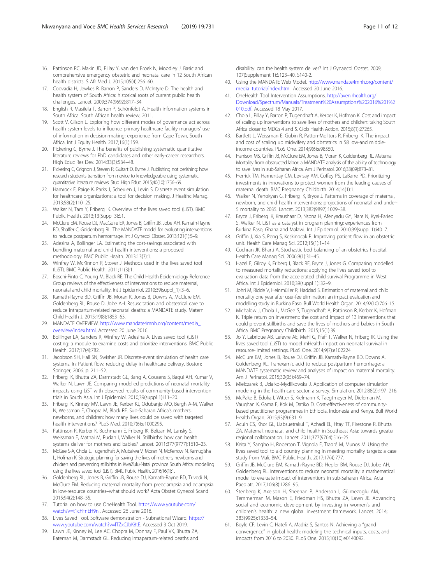- <span id="page-10-0"></span>16. Pattinson RC, Makin JD, Pillay Y, van den Broek N, Moodley J. Basic and comprehensive emergency obstetric and neonatal care in 12 South African health districts. S Afr Med J. 2015;105(4):256–60.
- 17. Coovadia H, Jewkes R, Barron P, Sanders D, McIntyre D. The health and health system of South Africa: historical roots of current public health challenges. Lancet. 2009;374(9692):817–34.
- 18. English R, Masilela T, Barron P, Schönfeldt A. Health information systems in South Africa. South African health review; 2011.
- 19. Scott V, Gilson L. Exploring how different modes of governance act across health system levels to influence primary healthcare facility managers' use of information in decision-making: experience from Cape Town, South Africa. Int J Equity Health. 2017;16(1):159.
- 20. Pickering C, Byrne J. The benefits of publishing systematic quantitative literature reviews for PhD candidates and other early-career researchers. High Educ Res Dev. 2014;33(3):534–48.
- 21. Pickering C, Grignon J, Steven R, Guitart D, Byrne J. Publishing not perishing: how research students transition from novice to knowledgeable using systematic quantitative literature reviews. Stud High Educ. 2015;40(10):1756–69.
- 22. Hamrock E, Paige K, Parks J, Scheulen J, Levin S. Discrete event simulation for healthcare organizations: a tool for decision making. J Healthc Manag. 2013;58(2):110–25.
- 23. Walker N, Tam Y, Friberg IK. Overview of the lives saved tool (LiST). BMC Public Health. 2013;13(Suppl 3):S1.
- 24. McClure EM, Rouse DJ, MacGuire ER, Jones B, Griffin JB, Jobe AH, Kamath-Rayne BD, Shaffer C, Goldenberg RL. The MANDATE model for evaluating interventions to reduce postpartum hemorrhage. Int J Gynecol Obstet. 2013;121(1):5–9.
- 25. Adesina A, Bollinger LA. Estimating the cost-savings associated with bundling maternal and child health interventions: a proposed methodology. BMC Public Health. 2013;13(3):1.
- 26. Winfrey W, McKinnon R, Stover J. Methods used in the lives saved tool (LiST). BMC Public Health. 2011;11(3):1.
- 27. Boschi-Pinto C, Young M, Black RE. The Child Health Epidemiology Reference Group reviews of the effectiveness of interventions to reduce maternal, neonatal and child mortality. Int J Epidemiol. 2010;39(suppl\_1):i3–6.
- 28. Kamath-Rayne BD, Griffin JB, Moran K, Jones B, Downs A, McClure EM, Goldenberg RL, Rouse D, Jobe AH. Resuscitation and obstetrical care to reduce intrapartum-related neonatal deaths: a MANDATE study. Matern Child Health J. 2015;19(8):1853–63.
- 29. MANDATE OVERVIEW. [http://www.mandate4mnh.org/content/media\\_](http://www.mandate4mnh.org/content/media_overview/index.html) [overview/index.html.](http://www.mandate4mnh.org/content/media_overview/index.html) Accessed 20 June 2016.
- 30. Bollinger LA, Sanders R, Winfrey W, Adesina A. Lives saved tool (LiST) costing: a module to examine costs and prioritize interventions. BMC Public Health. 2017;17(4):782.
- 31. Jacobson SH, Hall SN, Swisher JR. Discrete-event simulation of health care systems. In: Patient flow: reducing delay in healthcare delivery. Boston: Springer; 2006. p. 211–52.
- 32. Friberg IK, Bhutta ZA, Darmstadt GL, Bang A, Cousens S, Baqui AH, Kumar V, Walker N, Lawn JE. Comparing modelled predictions of neonatal mortality impacts using LiST with observed results of community-based intervention trials in South Asia. Int J Epidemiol. 2010;39(suppl 1):i11–20.
- 33. Friberg IK, Kinney MV, Lawn JE, Kerber KJ, Odubanjo MO, Bergh A-M, Walker N, Weissman E, Chopra M, Black RE. Sub-Saharan Africa's mothers, newborns, and children: how many lives could be saved with targeted health interventions? PLoS Med. 2010;7(6):e1000295.
- 34. Pattinson R, Kerber K, Buchmann E, Friberg IK, Belizan M, Lansky S, Weissman E, Mathai M, Rudan I, Walker N. Stillbirths: how can health systems deliver for mothers and babies? Lancet. 2011;377(9777):1610–23.
- 35. McGee S-A, Chola L, Tugendhaft A, Mubaiwa V, Moran N, McKerrow N, Kamugisha L, Hofman K. Strategic planning for saving the lives of mothers, newborns and children and preventing stillbirths in KwaZulu-Natal province South Africa: modelling using the lives saved tool (LiST). BMC Public Health. 2016;16(1):1.
- 36. Goldenberg RL, Jones B, Griffin JB, Rouse DJ, Kamath-Rayne BD, Trivedi N, McClure EM. Reducing maternal mortality from preeclampsia and eclampsia in low-resource countries–what should work? Acta Obstet Gynecol Scand. 2015;94(2):148–55.
- 37. Tutorial on how to use OneHealth Tool. [https://www.youtube.com/](https://www.youtube.com/watch?v=t1chFnEH9nI) [watch?v=t1chFnEH9nI](https://www.youtube.com/watch?v=t1chFnEH9nI). Accessed 26 June 2016.
- 38. Lives Saved Tool. Software demonstration Subnational Wizard. [https://](https://www.youtube.com/watch?v=lTZxCJbK8tE) [www.youtube.com/watch?v=lTZxCJbK8tE.](https://www.youtube.com/watch?v=lTZxCJbK8tE) Accessed 3 Oct 2019.
- 39. Lawn JE, Kinney M, Lee AC, Chopra M, Donnay F, Paul VK, Bhutta ZA, Bateman M, Darmstadt GL. Reducing intrapartum-related deaths and

disability: can the health system deliver? Int J Gynaecol Obstet. 2009; 107(Supplement 1):S123–40, S140-2.

- 40. Using the MANDATE Web Model. [http://www.mandate4mnh.org/content/](http://www.mandate4mnh.org/content/media_tutorial/index.html) [media\\_tutorial/index.html](http://www.mandate4mnh.org/content/media_tutorial/index.html). Accessed 20 June 2016.
- 41. OneHealth Tool Intervention Assumptions. [http://avenirhealth.org/](http://avenirhealth.org/Download/Spectrum/Manuals/Treatment%20Assumptions%202016%201%2010.pdf) [Download/Spectrum/Manuals/Treatment%20Assumptions%202016%201%2](http://avenirhealth.org/Download/Spectrum/Manuals/Treatment%20Assumptions%202016%201%2010.pdf) [010.pdf.](http://avenirhealth.org/Download/Spectrum/Manuals/Treatment%20Assumptions%202016%201%2010.pdf) Accessed 18 May 2017.
- 42. Chola L, Pillay Y, Barron P, Tugendhaft A, Kerber K, Hofman K. Cost and impact of scaling up interventions to save lives of mothers and children: taking South Africa closer to MDGs 4 and 5. Glob Health Action. 2015;8(1):27265.
- 43. Bartlett L, Weissman E, Gubin R, Patton-Molitors R, Friberg IK. The impact and cost of scaling up midwifery and obstetrics in 58 low-and middleincome countries. PLoS One. 2014;9(6):e98550.
- 44. Harrison MS, Griffin JB, McClure EM, Jones B, Moran K, Goldenberg RL. Maternal Mortality from obstructed labor: a MANDATE analysis of the ability of technology to save lives in sub-Saharan Africa. Am J Perinatol. 2016;33(09):873–81.
- 45. Herrick TM, Harner-Jay CM, Levisay AM, Coffey PS, LaBarre PD. Prioritizing investments in innovations to protect women from the leading causes of maternal death. BMC Pregnancy Childbirth. 2014;14(1):1.
- 46. Walker N, Yenokyan G, Friberg IK, Bryce J. Patterns in coverage of maternal, newborn, and child health interventions: projections of neonatal and under-5 mortality to 2035. Lancet. 2013;382(9897):1029–38.
- 47. Bryce J, Friberg IK, Kraushaar D, Nsona H, Afenyadu GY, Nare N, Kyei-Faried S, Walker N. LiST as a catalyst in program planning: experiences from Burkina Faso, Ghana and Malawi. Int J Epidemiol. 2010;39(suppl 1):i40–7.
- 48. Griffin J, Xia S, Peng S, Keskinocak P. Improving patient flow in an obstetric unit. Health Care Manag Sci. 2012;15(1):1–14.
- 49. Cochran JK, Bharti A. Stochastic bed balancing of an obstetrics hospital. Health Care Manag Sci. 2006;9(1):31–45.
- 50. Hazel E, Gilroy K, Friberg I, Black RE, Bryce J, Jones G. Comparing modelled to measured mortality reductions: applying the lives saved tool to evaluation data from the accelerated child survival Programme in West Africa. Int J Epidemiol. 2010;39(suppl 1):i32–9.
- 51. Johri M, Ridde V, Heinmüller R, Haddad S. Estimation of maternal and child mortality one year after user-fee elimination: an impact evaluation and modelling study in Burkina Faso. Bull World Health Organ. 2014;92(10):706–15.
- 52. Michalow J, Chola L, McGee S, Tugendhaft A, Pattinson R, Kerber K, Hofman K. Triple return on investment: the cost and impact of 13 interventions that could prevent stillbirths and save the lives of mothers and babies in South Africa. BMC Pregnancy Childbirth. 2015;15(1):39.
- 53. Jo Y, Labrique AB, Lefevre AE, Mehl G, Pfaff T, Walker N, Friberg IK. Using the lives saved tool (LiST) to model mHealth impact on neonatal survival in resource-limited settings. PLoS One. 2014;9(7):e102224.
- 54. McClure EM, Jones B, Rouse DJ, Griffin JB, Kamath-Rayne BD, Downs A, Goldenberg RL. Tranexamic acid to reduce postpartum hemorrhage: a MANDATE systematic review and analyses of impact on maternal mortality. Am J Perinatol. 2015;32(05):469–74.
- 55. Mielczarek B, Uziałko-Mydlikowska J. Application of computer simulation modeling in the health care sector: a survey. Simulation. 2012;88(2):197–216.
- 56. McPake B, Edoka I, Witter S, Kielmann K, Taegtmeyer M, Dieleman M, Vaughan K, Gama E, Kok M, Datiko D. Cost-effectiveness of communitybased practitioner programmes in Ethiopia, Indonesia and Kenya. Bull World Health Organ. 2015;93(9):631–9.
- 57. Acuin CS, Khor GL, Liabsuetrakul T, Achadi EL, Htay TT, Firestone R, Bhutta ZA. Maternal, neonatal, and child health in Southeast Asia: towards greater regional collaboration. Lancet. 2011;377(9764):516–25.
- 58. Keita Y, Sangho H, Roberton T, Vignola E, Traoré M, Munos M. Using the lives saved tool to aid country planning in meeting mortality targets: a case study from Mali. BMC Public Health. 2017;17(4):777.
- 59. Griffin JB, McClure EM, Kamath-Rayne BD, Hepler BM, Rouse DJ, Jobe AH, Goldenberg RL. Interventions to reduce neonatal mortality: a mathematical model to evaluate impact of interventions in sub-Saharan Africa. Acta Paediatr. 2017;106(8):1286–95.
- 60. Stenberg K, Axelson H, Sheehan P, Anderson I, Gülmezoglu AM, Temmerman M, Mason E, Friedman HS, Bhutta ZA, Lawn JE. Advancing social and economic development by investing in women's and children's health: a new global investment framework. Lancet. 2014; 383(9925):1333–54.
- 61. Boyle CF, Levin C, Hatefi A, Madriz S, Santos N. Achieving a "grand convergence" in global health: modeling the technical inputs, costs, and impacts from 2016 to 2030. PLoS One. 2015;10(10):e0140092.